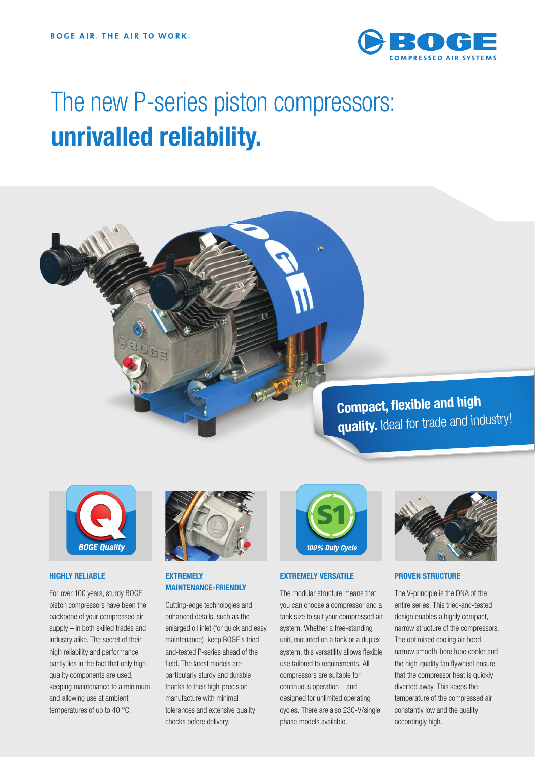

# The new P-series piston compressors: **unrivalled reliability.**

**Compact, flexible and high quality.** Ideal for trade and industry!



#### **HIGHLY RELIABLE**

For over 100 years, sturdy BOGE piston compressors have been the backbone of your compressed air supply – in both skilled trades and industry alike. The secret of their high reliability and performance partly lies in the fact that only highquality components are used, keeping maintenance to a minimum and allowing use at ambient temperatures of up to 40 °C.



#### **EXTREMELY MAINTENANCE-FRIENDLY**

Cutting-edge technologies and enhanced details, such as the enlarged oil inlet (for quick and easy maintenance), keep BOGE's triedand-tested P-series ahead of the field. The latest models are particularly sturdy and durable thanks to their high-precision manufacture with minimal tolerances and extensive quality checks before delivery.



#### **EXTREMELY VERSATILE**

The modular structure means that you can choose a compressor and a tank size to suit your compressed air system. Whether a free-standing unit, mounted on a tank or a duplex system, this versatility allows flexible use tailored to requirements. All compressors are suitable for continuous operation – and designed for unlimited operating cycles. There are also 230-V/single phase models available.



#### **PROVEN STRUCTURE**

The V-principle is the DNA of the entire series. This tried-and-tested design enables a highly compact, narrow structure of the compressors. The optimised cooling air hood, narrow smooth-bore tube cooler and the high-quality fan flywheel ensure that the compressor heat is quickly diverted away. This keeps the temperature of the compressed air constantly low and the quality accordingly high.